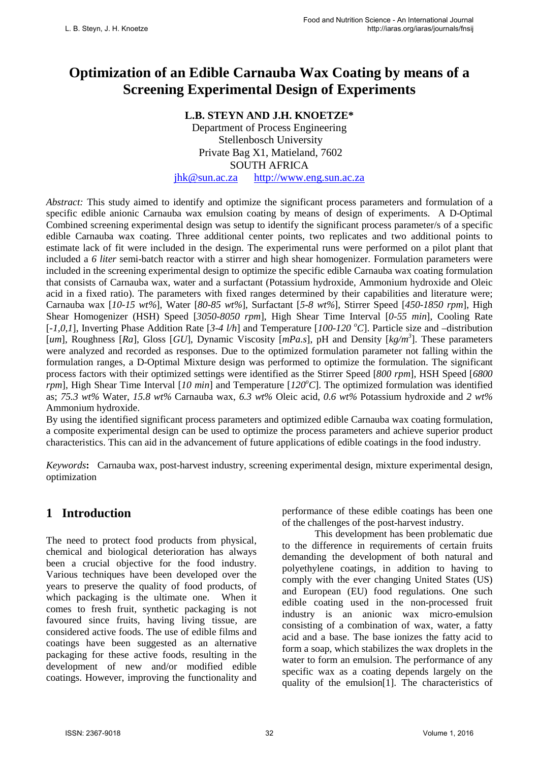# **Optimization of an Edible Carnauba Wax Coating by means of a Screening Experimental Design of Experiments**

# **L.B. STEYN AND J.H. KNOETZE\***

Department of Process Engineering Stellenbosch University Private Bag X1, Matieland, 7602 SOUTH AFRICA [jhk@sun.ac.za](mailto:jhk@sun.ac.za) [http://www.eng.sun.ac.za](http://www.eng.sun.ac.za/)

*Abstract:* This study aimed to identify and optimize the significant process parameters and formulation of a specific edible anionic Carnauba wax emulsion coating by means of design of experiments. A D-Optimal Combined screening experimental design was setup to identify the significant process parameter/s of a specific edible Carnauba wax coating. Three additional center points, two replicates and two additional points to estimate lack of fit were included in the design. The experimental runs were performed on a pilot plant that included a *6 liter* semi-batch reactor with a stirrer and high shear homogenizer. Formulation parameters were included in the screening experimental design to optimize the specific edible Carnauba wax coating formulation that consists of Carnauba wax, water and a surfactant (Potassium hydroxide, Ammonium hydroxide and Oleic acid in a fixed ratio). The parameters with fixed ranges determined by their capabilities and literature were; Carnauba wax [*10-15 wt%*], Water [*80-85 wt%*], Surfactant [*5-8 wt%*], Stirrer Speed [*450-1850 rpm*], High Shear Homogenizer (HSH) Speed [*3050-8050 rpm*], High Shear Time Interval [*0-55 min*], Cooling Rate [*-1,0,1*], Inverting Phase Addition Rate [*3-4 l/h*] and Temperature [*100-120 <sup>o</sup> C*]. Particle size and –distribution [um], Roughness [Ra], Gloss [GU], Dynamic Viscosity [mPa.s], pH and Density [kg/m<sup>3</sup>]. These parameters were analyzed and recorded as responses. Due to the optimized formulation parameter not falling within the formulation ranges, a D-Optimal Mixture design was performed to optimize the formulation. The significant process factors with their optimized settings were identified as the Stirrer Speed [*800 rpm*], HSH Speed [*6800 rpm*], High Shear Time Interval [*10 min*] and Temperature [*120<sup>o</sup> C*]. The optimized formulation was identified as; *75.3 wt%* Water, *15.8 wt%* Carnauba wax, *6.3 wt%* Oleic acid, *0.6 wt%* Potassium hydroxide and *2 wt%* Ammonium hydroxide.

By using the identified significant process parameters and optimized edible Carnauba wax coating formulation, a composite experimental design can be used to optimize the process parameters and achieve superior product characteristics. This can aid in the advancement of future applications of edible coatings in the food industry.

*Keywords***:** Carnauba wax, post-harvest industry, screening experimental design, mixture experimental design, optimization

# **1 Introduction**

The need to protect food products from physical, chemical and biological deterioration has always been a crucial objective for the food industry. Various techniques have been developed over the years to preserve the quality of food products, of which packaging is the ultimate one. When it comes to fresh fruit, synthetic packaging is not favoured since fruits, having living tissue, are considered active foods. The use of edible films and coatings have been suggested as an alternative packaging for these active foods, resulting in the development of new and/or modified edible coatings. However, improving the functionality and performance of these edible coatings has been one of the challenges of the post-harvest industry.

This development has been problematic due to the difference in requirements of certain fruits demanding the development of both natural and polyethylene coatings, in addition to having to comply with the ever changing United States (US) and European (EU) food regulations. One such edible coating used in the non-processed fruit industry is an anionic wax micro-emulsion consisting of a combination of wax, water, a fatty acid and a base. The base ionizes the fatty acid to form a soap, which stabilizes the wax droplets in the water to form an emulsion. The performance of any specific wax as a coating depends largely on the quality of the emulsion[1]. The characteristics of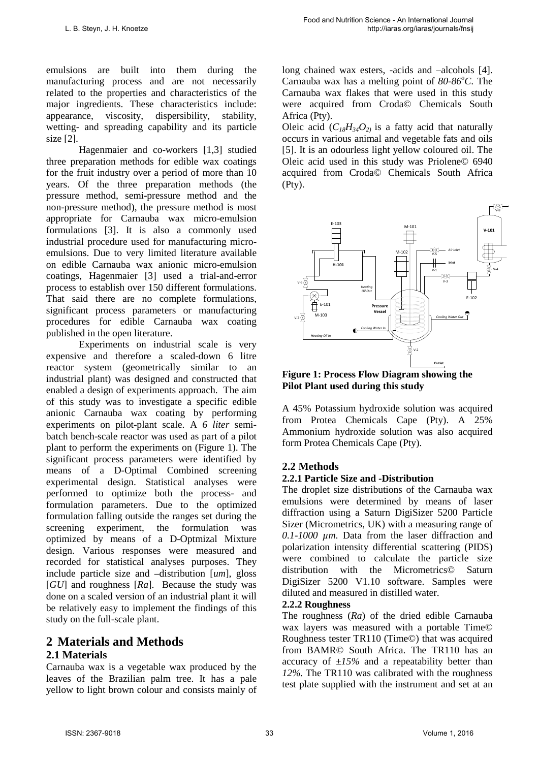emulsions are built into them during the manufacturing process and are not necessarily related to the properties and characteristics of the major ingredients. These characteristics include: appearance, viscosity, dispersibility, stability, wetting- and spreading capability and its particle size [2].

Hagenmaier and co-workers [1,3] studied three preparation methods for edible wax coatings for the fruit industry over a period of more than 10 years. Of the three preparation methods (the pressure method, semi-pressure method and the non-pressure method), the pressure method is most appropriate for Carnauba wax micro-emulsion formulations [3]. It is also a commonly used industrial procedure used for manufacturing microemulsions. Due to very limited literature available on edible Carnauba wax anionic micro-emulsion coatings, Hagenmaier [3] used a trial-and-error process to establish over 150 different formulations. That said there are no complete formulations, significant process parameters or manufacturing procedures for edible Carnauba wax coating published in the open literature.

Experiments on industrial scale is very expensive and therefore a scaled-down 6 litre reactor system (geometrically similar to an industrial plant) was designed and constructed that enabled a design of experiments approach. The aim of this study was to investigate a specific edible anionic Carnauba wax coating by performing experiments on pilot-plant scale. A *6 liter* semibatch bench-scale reactor was used as part of a pilot plant to perform the experiments on (Figure 1). The significant process parameters were identified by means of a D-Optimal Combined screening experimental design. Statistical analyses were performed to optimize both the process- and formulation parameters. Due to the optimized formulation falling outside the ranges set during the screening experiment, the formulation was optimized by means of a D-Optmizal Mixture design. Various responses were measured and recorded for statistical analyses purposes. They include particle size and –distribution [*um*], gloss [*GU*] and roughness [*Ra*]. Because the study was done on a scaled version of an industrial plant it will be relatively easy to implement the findings of this study on the full-scale plant.

# **2 Materials and Methods**

# **2.1 Materials**

Carnauba wax is a vegetable wax produced by the leaves of the Brazilian palm tree. It has a pale yellow to light brown colour and consists mainly of long chained wax esters, -acids and –alcohols [4]. Carnauba wax has a melting point of 80-86°C. The Carnauba wax flakes that were used in this study were acquired from Croda© Chemicals South Africa (Pty).

Oleic acid  $(C_{18}H_{34}O_{21})$  is a fatty acid that naturally occurs in various animal and vegetable fats and oils [5]. It is an odourless light yellow coloured oil. The Oleic acid used in this study was Priolene© 6940 acquired from Croda© Chemicals South Africa (Pty).



**Figure 1: Process Flow Diagram showing the Pilot Plant used during this study** 

A 45% Potassium hydroxide solution was acquired from Protea Chemicals Cape (Pty). A 25% Ammonium hydroxide solution was also acquired form Protea Chemicals Cape (Pty).

# **2.2 Methods**

## **2.2.1 Particle Size and -Distribution**

The droplet size distributions of the Carnauba wax emulsions were determined by means of laser diffraction using a Saturn DigiSizer 5200 Particle Sizer (Micrometrics, UK) with a measuring range of *0.1-1000 µm*. Data from the laser diffraction and polarization intensity differential scattering (PIDS) were combined to calculate the particle size distribution with the Micrometrics© Saturn DigiSizer 5200 V1.10 software. Samples were diluted and measured in distilled water.

## **2.2.2 Roughness**

The roughness (*Ra*) of the dried edible Carnauba wax layers was measured with a portable Time© Roughness tester TR110 (Time©) that was acquired from BAMR© South Africa. The TR110 has an accuracy of *±15%* and a repeatability better than *12%*. The TR110 was calibrated with the roughness test plate supplied with the instrument and set at an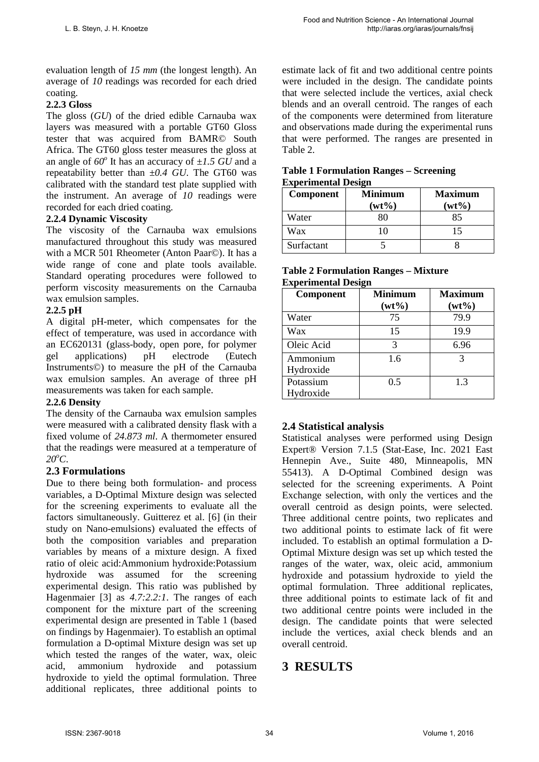evaluation length of *15 mm* (the longest length). An average of *10* readings was recorded for each dried coating.

## **2.2.3 Gloss**

The gloss (*GU*) of the dried edible Carnauba wax layers was measured with a portable GT60 Gloss tester that was acquired from BAMR© South Africa. The GT60 gloss tester measures the gloss at an angle of  $60^\circ$  It has an accuracy of  $\pm 1.5$  GU and a repeatability better than *±0.4 GU*. The GT60 was calibrated with the standard test plate supplied with the instrument. An average of *10* readings were recorded for each dried coating.

## **2.2.4 Dynamic Viscosity**

The viscosity of the Carnauba wax emulsions manufactured throughout this study was measured with a MCR 501 Rheometer (Anton Paar©). It has a wide range of cone and plate tools available. Standard operating procedures were followed to perform viscosity measurements on the Carnauba wax emulsion samples.

## **2.2.5 pH**

A digital pH-meter, which compensates for the effect of temperature, was used in accordance with an EC620131 (glass-body, open pore, for polymer gel applications) pH electrode (Eutech Instruments©) to measure the pH of the Carnauba wax emulsion samples. An average of three pH measurements was taken for each sample.

## **2.2.6 Density**

The density of the Carnauba wax emulsion samples were measured with a calibrated density flask with a fixed volume of *24.873 ml*. A thermometer ensured that the readings were measured at a temperature of *20o C*.

## **2.3 Formulations**

Due to there being both formulation- and process variables, a D-Optimal Mixture design was selected for the screening experiments to evaluate all the factors simultaneously. Guitterez et al. [6] (in their study on Nano-emulsions) evaluated the effects of both the composition variables and preparation variables by means of a mixture design. A fixed ratio of oleic acid:Ammonium hydroxide:Potassium hydroxide was assumed for the screening experimental design. This ratio was published by Hagenmaier [3] as *4.7:2.2:1*. The ranges of each component for the mixture part of the screening experimental design are presented in Table 1 (based on findings by Hagenmaier). To establish an optimal formulation a D-optimal Mixture design was set up which tested the ranges of the water, wax, oleic acid, ammonium hydroxide and potassium hydroxide to yield the optimal formulation. Three additional replicates, three additional points to estimate lack of fit and two additional centre points were included in the design. The candidate points that were selected include the vertices, axial check blends and an overall centroid. The ranges of each of the components were determined from literature and observations made during the experimental runs that were performed. The ranges are presented in Table 2.

#### **Table 1 Formulation Ranges – Screening Experimental Design**

| Component  | <b>Minimum</b><br>$(wt\%)$ | <b>Maximum</b><br>$(wt\%)$ |
|------------|----------------------------|----------------------------|
| Water      |                            | 85                         |
| Wax        |                            | 15                         |
| Surfactant |                            |                            |

#### **Table 2 Formulation Ranges – Mixture Experimental Design**

| Component  | <b>Minimum</b><br>$(wt\%)$ | Maximum<br>$(wt\%)$ |
|------------|----------------------------|---------------------|
| Water      | 75                         | 79.9                |
| Wax        | 15                         | 19.9                |
| Oleic Acid | 3                          | 6.96                |
| Ammonium   | 1.6                        | 3                   |
| Hydroxide  |                            |                     |
| Potassium  | 0.5                        | 1.3                 |
| Hydroxide  |                            |                     |

# **2.4 Statistical analysis**

Statistical analyses were performed using Design Expert® Version 7.1.5 (Stat-Ease, Inc. 2021 East Hennepin Ave., Suite 480, Minneapolis, MN 55413). A D-Optimal Combined design was selected for the screening experiments. A Point Exchange selection, with only the vertices and the overall centroid as design points, were selected. Three additional centre points, two replicates and two additional points to estimate lack of fit were included. To establish an optimal formulation a D-Optimal Mixture design was set up which tested the ranges of the water, wax, oleic acid, ammonium hydroxide and potassium hydroxide to yield the optimal formulation. Three additional replicates, three additional points to estimate lack of fit and two additional centre points were included in the design. The candidate points that were selected include the vertices, axial check blends and an overall centroid.

# **3 RESULTS**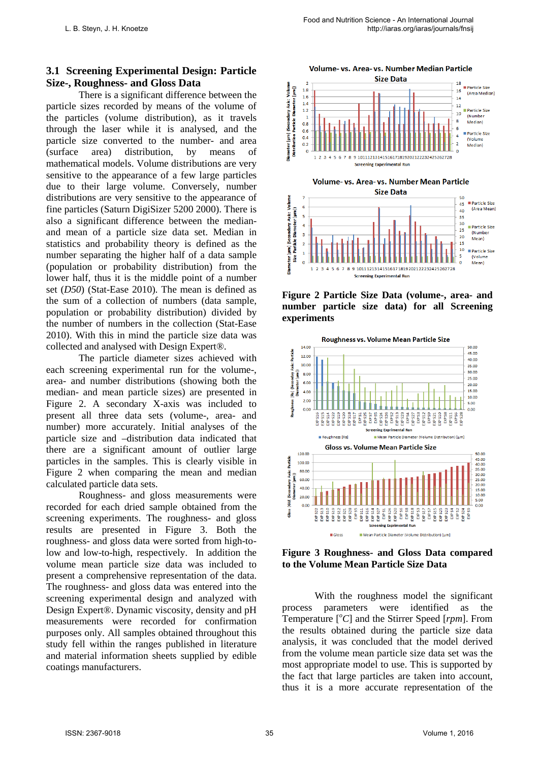# **3.1 Screening Experimental Design: Particle Size-, Roughness- and Gloss Data**

There is a significant difference between the particle sizes recorded by means of the volume of the particles (volume distribution), as it travels through the laser while it is analysed, and the particle size converted to the number- and area (surface area) distribution, by means of mathematical models. Volume distributions are very sensitive to the appearance of a few large particles due to their large volume. Conversely, number distributions are very sensitive to the appearance of fine particles (Saturn DigiSizer 5200 2000). There is also a significant difference between the medianand mean of a particle size data set. Median in statistics and probability theory is defined as the number separating the higher half of a data sample (population or probability distribution) from the lower half, thus it is the middle point of a number set (*D50*) (Stat-Ease 2010). The mean is defined as the sum of a collection of numbers (data sample, population or probability distribution) divided by the number of numbers in the collection (Stat-Ease 2010). With this in mind the particle size data was collected and analysed with Design Expert®.

The particle diameter sizes achieved with each screening experimental run for the volume-, area- and number distributions (showing both the median- and mean particle sizes) are presented in Figure 2. A secondary X-axis was included to present all three data sets (volume-, area- and number) more accurately. Initial analyses of the particle size and –distribution data indicated that there are a significant amount of outlier large particles in the samples. This is clearly visible in Figure 2 when comparing the mean and median calculated particle data sets.

Roughness- and gloss measurements were recorded for each dried sample obtained from the screening experiments. The roughness- and gloss results are presented in Figure 3. Both the roughness- and gloss data were sorted from high-tolow and low-to-high, respectively. In addition the volume mean particle size data was included to present a comprehensive representation of the data. The roughness- and gloss data was entered into the screening experimental design and analyzed with Design Expert®. Dynamic viscosity, density and pH measurements were recorded for confirmation purposes only. All samples obtained throughout this study fell within the ranges published in literature and material information sheets supplied by edible coatings manufacturers.





**Figure 2 Particle Size Data (volume-, area- and number particle size data) for all Screening experiments**



**Figure 3 Roughness- and Gloss Data compared to the Volume Mean Particle Size Data**

With the roughness model the significant process parameters were identified as the Temperature [*<sup>o</sup> C*] and the Stirrer Speed [*rpm*]. From the results obtained during the particle size data analysis, it was concluded that the model derived from the volume mean particle size data set was the most appropriate model to use. This is supported by the fact that large particles are taken into account, thus it is a more accurate representation of the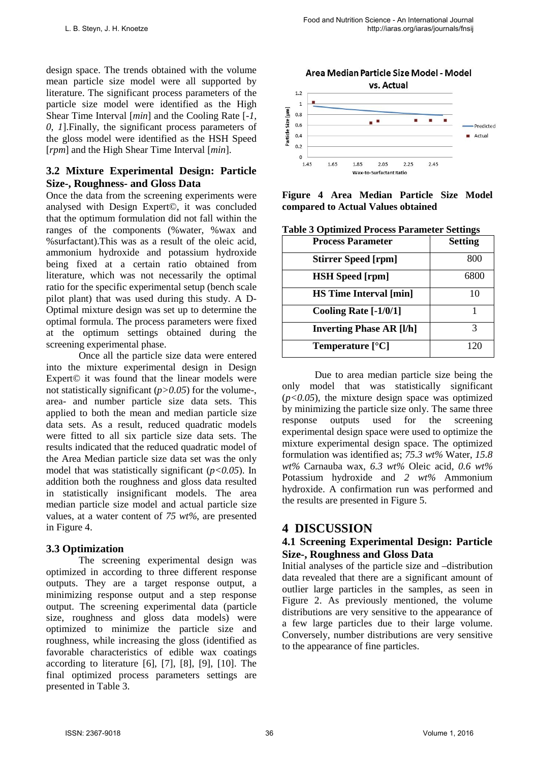design space. The trends obtained with the volume mean particle size model were all supported by literature. The significant process parameters of the particle size model were identified as the High Shear Time Interval [*min*] and the Cooling Rate [*-1, 0, 1*].Finally, the significant process parameters of the gloss model were identified as the HSH Speed [*rpm*] and the High Shear Time Interval [*min*].

# **3.2 Mixture Experimental Design: Particle Size-, Roughness- and Gloss Data**

Once the data from the screening experiments were analysed with Design Expert©, it was concluded that the optimum formulation did not fall within the ranges of the components (%water, %wax and %surfactant).This was as a result of the oleic acid, ammonium hydroxide and potassium hydroxide being fixed at a certain ratio obtained from literature, which was not necessarily the optimal ratio for the specific experimental setup (bench scale pilot plant) that was used during this study. A D-Optimal mixture design was set up to determine the optimal formula. The process parameters were fixed at the optimum settings obtained during the screening experimental phase.

Once all the particle size data were entered into the mixture experimental design in Design Expert© it was found that the linear models were not statistically significant (*p>0.05*) for the volume-, area- and number particle size data sets. This applied to both the mean and median particle size data sets. As a result, reduced quadratic models were fitted to all six particle size data sets. The results indicated that the reduced quadratic model of the Area Median particle size data set was the only model that was statistically significant (*p<0.05*). In addition both the roughness and gloss data resulted in statistically insignificant models. The area median particle size model and actual particle size values, at a water content of *75 wt%*, are presented in Figure 4.

# **3.3 Optimization**

The screening experimental design was optimized in according to three different response outputs. They are a target response output, a minimizing response output and a step response output. The screening experimental data (particle size, roughness and gloss data models) were optimized to minimize the particle size and roughness, while increasing the gloss (identified as favorable characteristics of edible wax coatings according to literature  $[6]$ ,  $[7]$ ,  $[8]$ ,  $[9]$ ,  $[10]$ . The final optimized process parameters settings are presented in Table 3.



**Figure 4 Area Median Particle Size Model compared to Actual Values obtained**

| <b>Process Parameter</b>        | <b>Setting</b> |
|---------------------------------|----------------|
| <b>Stirrer Speed [rpm]</b>      | 800            |
| <b>HSH</b> Speed [rpm]          | 6800           |
| <b>HS Time Interval [min]</b>   | 10             |
| Cooling Rate [-1/0/1]           |                |
| <b>Inverting Phase AR [I/h]</b> | 3              |
| Temperature $[°C]$              |                |

| <b>Table 3 Optimized Process Parameter Settings</b> |
|-----------------------------------------------------|
|-----------------------------------------------------|

Due to area median particle size being the only model that was statistically significant  $(p<0.05)$ , the mixture design space was optimized by minimizing the particle size only. The same three<br>response outputs used for the screening response outputs used for the screening experimental design space were used to optimize the mixture experimental design space. The optimized formulation was identified as; *75.3 wt%* Water, *15.8 wt%* Carnauba wax, *6.3 wt%* Oleic acid, *0.6 wt%* Potassium hydroxide and *2 wt%* Ammonium hydroxide. A confirmation run was performed and the results are presented in Figure 5.

# **4 DISCUSSION**

# **4.1 Screening Experimental Design: Particle Size-, Roughness and Gloss Data**

Initial analyses of the particle size and –distribution data revealed that there are a significant amount of outlier large particles in the samples, as seen in Figure 2. As previously mentioned, the volume distributions are very sensitive to the appearance of a few large particles due to their large volume. Conversely, number distributions are very sensitive to the appearance of fine particles.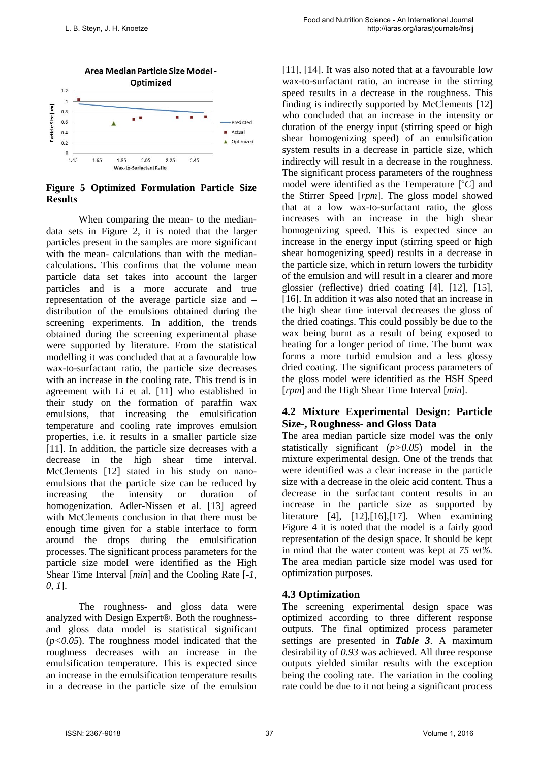

**Figure 5 Optimized Formulation Particle Size Results**

When comparing the mean- to the mediandata sets in Figure 2, it is noted that the larger particles present in the samples are more significant with the mean- calculations than with the mediancalculations. This confirms that the volume mean particle data set takes into account the larger particles and is a more accurate and true representation of the average particle size and – distribution of the emulsions obtained during the screening experiments. In addition, the trends obtained during the screening experimental phase were supported by literature. From the statistical modelling it was concluded that at a favourable low wax-to-surfactant ratio, the particle size decreases with an increase in the cooling rate. This trend is in agreement with Li et al. [11] who established in their study on the formation of paraffin wax emulsions, that increasing the emulsification temperature and cooling rate improves emulsion properties, i.e. it results in a smaller particle size [11]. In addition, the particle size decreases with a decrease in the high shear time interval. McClements [12] stated in his study on nanoemulsions that the particle size can be reduced by increasing the intensity or duration of homogenization. Adler-Nissen et al. [13] agreed with McClements conclusion in that there must be enough time given for a stable interface to form around the drops during the emulsification processes. The significant process parameters for the particle size model were identified as the High Shear Time Interval [*min*] and the Cooling Rate [*-1, 0, 1*].

The roughness- and gloss data were analyzed with Design Expert®. Both the roughnessand gloss data model is statistical significant (*p<0.05*). The roughness model indicated that the roughness decreases with an increase in the emulsification temperature. This is expected since an increase in the emulsification temperature results in a decrease in the particle size of the emulsion [11], [14]. It was also noted that at a favourable low wax-to-surfactant ratio, an increase in the stirring speed results in a decrease in the roughness. This finding is indirectly supported by McClements [12] who concluded that an increase in the intensity or duration of the energy input (stirring speed or high shear homogenizing speed) of an emulsification system results in a decrease in particle size, which indirectly will result in a decrease in the roughness. The significant process parameters of the roughness model were identified as the Temperature [*<sup>o</sup> C*] and the Stirrer Speed [*rpm*]. The gloss model showed that at a low wax-to-surfactant ratio, the gloss increases with an increase in the high shear homogenizing speed. This is expected since an increase in the energy input (stirring speed or high shear homogenizing speed) results in a decrease in the particle size, which in return lowers the turbidity of the emulsion and will result in a clearer and more glossier (reflective) dried coating [4], [12], [15], [16]. In addition it was also noted that an increase in the high shear time interval decreases the gloss of the dried coatings. This could possibly be due to the wax being burnt as a result of being exposed to heating for a longer period of time. The burnt wax forms a more turbid emulsion and a less glossy dried coating. The significant process parameters of the gloss model were identified as the HSH Speed [*rpm*] and the High Shear Time Interval [*min*].

## **4.2 Mixture Experimental Design: Particle Size-, Roughness- and Gloss Data**

The area median particle size model was the only statistically significant (*p>0.05*) model in the mixture experimental design. One of the trends that were identified was a clear increase in the particle size with a decrease in the oleic acid content. Thus a decrease in the surfactant content results in an increase in the particle size as supported by literature [4], [12],[16],[17]. When examining Figure 4 it is noted that the model is a fairly good representation of the design space. It should be kept in mind that the water content was kept at *75 wt%*. The area median particle size model was used for optimization purposes.

# **4.3 Optimization**

The screening experimental design space was optimized according to three different response outputs. The final optimized process parameter settings are presented in *Table 3*. A maximum desirability of *0.93* was achieved. All three response outputs yielded similar results with the exception being the cooling rate. The variation in the cooling rate could be due to it not being a significant process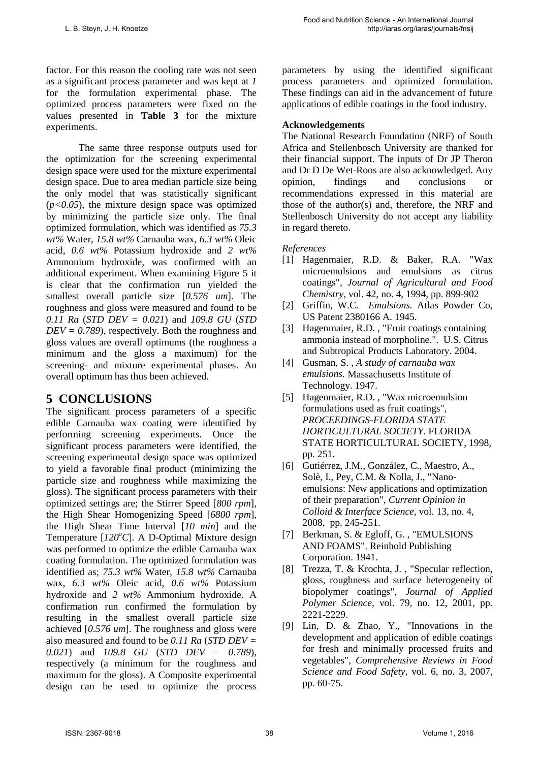factor. For this reason the cooling rate was not seen as a significant process parameter and was kept at *1* for the formulation experimental phase. The optimized process parameters were fixed on the values presented in **Table 3** for the mixture experiments.

The same three response outputs used for the optimization for the screening experimental design space were used for the mixture experimental design space. Due to area median particle size being the only model that was statistically significant  $(p<0.05)$ , the mixture design space was optimized by minimizing the particle size only. The final optimized formulation, which was identified as *75.3 wt%* Water, *15.8 wt%* Carnauba wax, *6.3 wt%* Oleic acid, *0.6 wt%* Potassium hydroxide and *2 wt%* Ammonium hydroxide, was confirmed with an additional experiment. When examining Figure 5 it is clear that the confirmation run yielded the smallest overall particle size [*0.576 um*]. The roughness and gloss were measured and found to be *0.11 Ra* (*STD DEV = 0.021*) and *109.8 GU* (*STD*   $DEV = 0.789$ , respectively. Both the roughness and gloss values are overall optimums (the roughness a minimum and the gloss a maximum) for the screening- and mixture experimental phases. An overall optimum has thus been achieved.

# **5 CONCLUSIONS**

The significant process parameters of a specific edible Carnauba wax coating were identified by performing screening experiments. Once the significant process parameters were identified, the screening experimental design space was optimized to yield a favorable final product (minimizing the particle size and roughness while maximizing the gloss). The significant process parameters with their optimized settings are; the Stirrer Speed [*800 rpm*], the High Shear Homogenizing Speed [*6800 rpm*], the High Shear Time Interval [*10 min*] and the Temperature [120°C]. A D-Optimal Mixture design was performed to optimize the edible Carnauba wax coating formulation. The optimized formulation was identified as; *75.3 wt%* Water, *15.8 wt%* Carnauba wax, *6.3 wt%* Oleic acid, *0.6 wt%* Potassium hydroxide and *2 wt%* Ammonium hydroxide. A confirmation run confirmed the formulation by resulting in the smallest overall particle size achieved [*0.576 um*]. The roughness and gloss were also measured and found to be *0.11 Ra* (*STD DEV = 0.021*) and *109.8 GU* (*STD DEV = 0.789*), respectively (a minimum for the roughness and maximum for the gloss). A Composite experimental design can be used to optimize the process

parameters by using the identified significant process parameters and optimized formulation. These findings can aid in the advancement of future applications of edible coatings in the food industry.

### **Acknowledgements**

The National Research Foundation (NRF) of South Africa and Stellenbosch University are thanked for their financial support. The inputs of Dr JP Theron and Dr D De Wet-Roos are also acknowledged. Any opinion, findings and conclusions or recommendations expressed in this material are those of the author(s) and, therefore, the NRF and Stellenbosch University do not accept any liability in regard thereto.

## *References*

- [1] Hagenmaier, R.D. & Baker, R.A. "Wax microemulsions and emulsions as citrus coatings", *Journal of Agricultural and Food Chemistry,* vol. 42, no. 4, 1994, pp. 899-902
- [2] Griffin, W.C. *Emulsions.* Atlas Powder Co, US Patent 2380166 A. 1945.
- [3] Hagenmaier, R.D. , "Fruit coatings containing ammonia instead of morpholine.". U.S. Citrus and Subtropical Products Laboratory. 2004.
- [4] Gusman, S. , *A study of carnauba wax emulsions.* Massachusetts Institute of Technology. 1947.
- [5] Hagenmaier, R.D. , "Wax microemulsion formulations used as fruit coatings", *PROCEEDINGS-FLORIDA STATE HORTICULTURAL SOCIETY.* FLORIDA STATE HORTICULTURAL SOCIETY, 1998, pp. 251.
- [6] Gutiérrez, J.M., González, C., Maestro, A., Solè, I., Pey, C.M. & Nolla, J., "Nanoemulsions: New applications and optimization of their preparation", *Current Opinion in Colloid & Interface Science,* vol. 13, no. 4, 2008, pp. 245-251.
- [7] Berkman, S. & Egloff, G. , "EMULSIONS AND FOAMS". Reinhold Publishing Corporation. 1941.
- [8] Trezza, T. & Krochta, J. , "Specular reflection, gloss, roughness and surface heterogeneity of biopolymer coatings", *Journal of Applied Polymer Science,* vol. 79, no. 12, 2001, pp. 2221-2229.
- [9] Lin, D. & Zhao, Y., "Innovations in the development and application of edible coatings for fresh and minimally processed fruits and vegetables", *Comprehensive Reviews in Food Science and Food Safety,* vol. 6, no. 3, 2007, pp. 60-75.